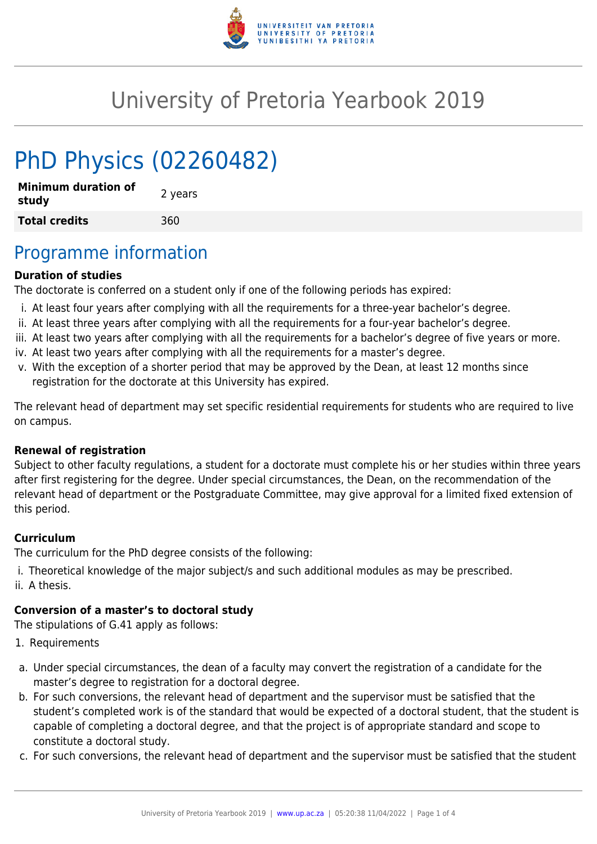

# University of Pretoria Yearbook 2019

# PhD Physics (02260482)

| <b>Minimum duration of</b><br>study | 2 years |
|-------------------------------------|---------|
| <b>Total credits</b>                | 360     |

# Programme information

#### **Duration of studies**

The doctorate is conferred on a student only if one of the following periods has expired:

- i. At least four years after complying with all the requirements for a three-year bachelor's degree.
- ii. At least three years after complying with all the requirements for a four-year bachelor's degree.
- iii. At least two years after complying with all the requirements for a bachelor's degree of five years or more.
- iv. At least two years after complying with all the requirements for a master's degree.
- v. With the exception of a shorter period that may be approved by the Dean, at least 12 months since registration for the doctorate at this University has expired.

The relevant head of department may set specific residential requirements for students who are required to live on campus.

#### **Renewal of registration**

Subject to other faculty regulations, a student for a doctorate must complete his or her studies within three years after first registering for the degree. Under special circumstances, the Dean, on the recommendation of the relevant head of department or the Postgraduate Committee, may give approval for a limited fixed extension of this period.

#### **Curriculum**

The curriculum for the PhD degree consists of the following:

- i. Theoretical knowledge of the major subject/s and such additional modules as may be prescribed.
- ii. A thesis.

### **Conversion of a master's to doctoral study**

The stipulations of G.41 apply as follows:

- 1. Requirements
- a. Under special circumstances, the dean of a faculty may convert the registration of a candidate for the master's degree to registration for a doctoral degree.
- b. For such conversions, the relevant head of department and the supervisor must be satisfied that the student's completed work is of the standard that would be expected of a doctoral student, that the student is capable of completing a doctoral degree, and that the project is of appropriate standard and scope to constitute a doctoral study.
- c. For such conversions, the relevant head of department and the supervisor must be satisfied that the student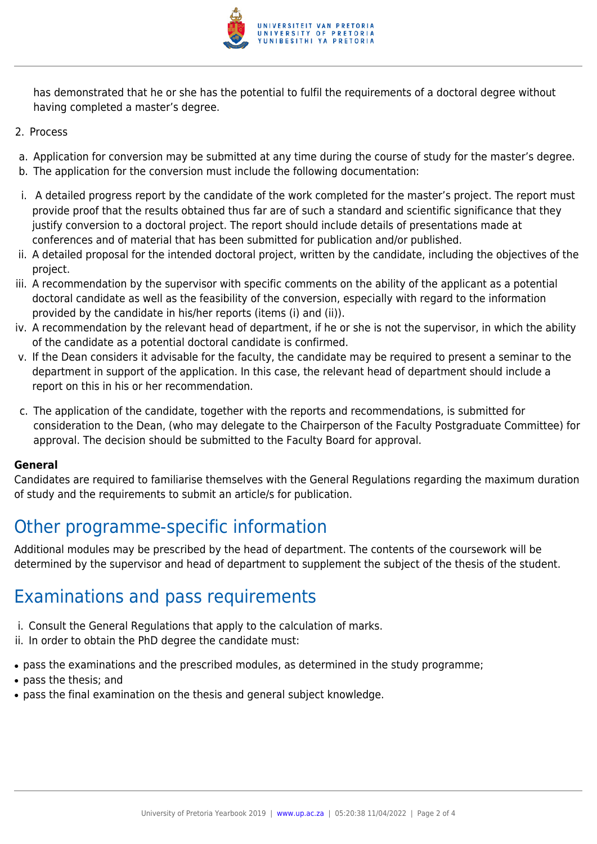

has demonstrated that he or she has the potential to fulfil the requirements of a doctoral degree without having completed a master's degree.

- 2. Process
- a. Application for conversion may be submitted at any time during the course of study for the master's degree.
- b. The application for the conversion must include the following documentation:
- i. A detailed progress report by the candidate of the work completed for the master's project. The report must provide proof that the results obtained thus far are of such a standard and scientific significance that they justify conversion to a doctoral project. The report should include details of presentations made at conferences and of material that has been submitted for publication and/or published.
- ii. A detailed proposal for the intended doctoral project, written by the candidate, including the objectives of the project.
- iii. A recommendation by the supervisor with specific comments on the ability of the applicant as a potential doctoral candidate as well as the feasibility of the conversion, especially with regard to the information provided by the candidate in his/her reports (items (i) and (ii)).
- iv. A recommendation by the relevant head of department, if he or she is not the supervisor, in which the ability of the candidate as a potential doctoral candidate is confirmed.
- v. If the Dean considers it advisable for the faculty, the candidate may be required to present a seminar to the department in support of the application. In this case, the relevant head of department should include a report on this in his or her recommendation.
- c. The application of the candidate, together with the reports and recommendations, is submitted for consideration to the Dean, (who may delegate to the Chairperson of the Faculty Postgraduate Committee) for approval. The decision should be submitted to the Faculty Board for approval.

#### **General**

Candidates are required to familiarise themselves with the General Regulations regarding the maximum duration of study and the requirements to submit an article/s for publication.

# Other programme-specific information

Additional modules may be prescribed by the head of department. The contents of the coursework will be determined by the supervisor and head of department to supplement the subject of the thesis of the student.

# Examinations and pass requirements

- i. Consult the General Regulations that apply to the calculation of marks.
- ii. In order to obtain the PhD degree the candidate must:
- pass the examinations and the prescribed modules, as determined in the study programme;
- pass the thesis; and
- pass the final examination on the thesis and general subject knowledge.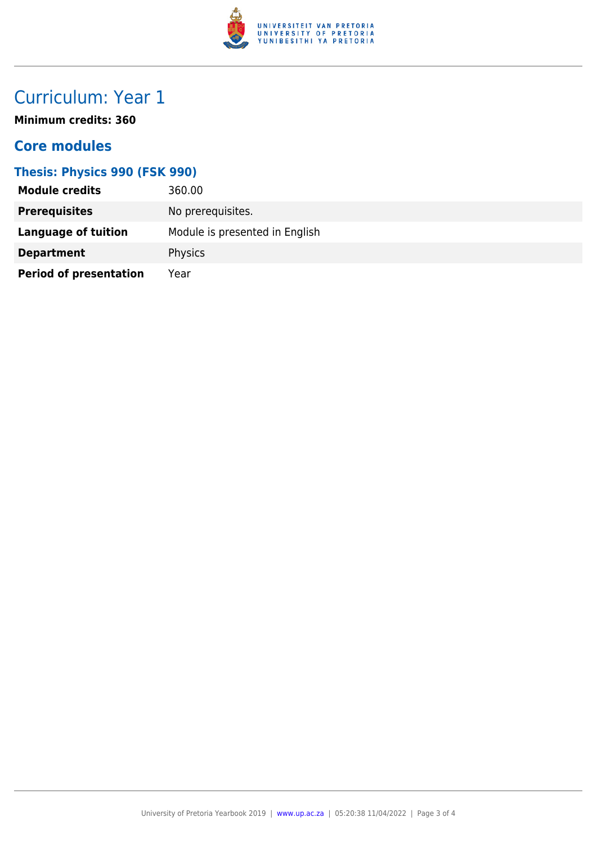

# Curriculum: Year 1

**Minimum credits: 360**

### **Core modules**

### **Thesis: Physics 990 (FSK 990)**

| <b>Module credits</b>         | 360.00                         |
|-------------------------------|--------------------------------|
| <b>Prerequisites</b>          | No prerequisites.              |
| Language of tuition           | Module is presented in English |
| <b>Department</b>             | Physics                        |
| <b>Period of presentation</b> | Year                           |